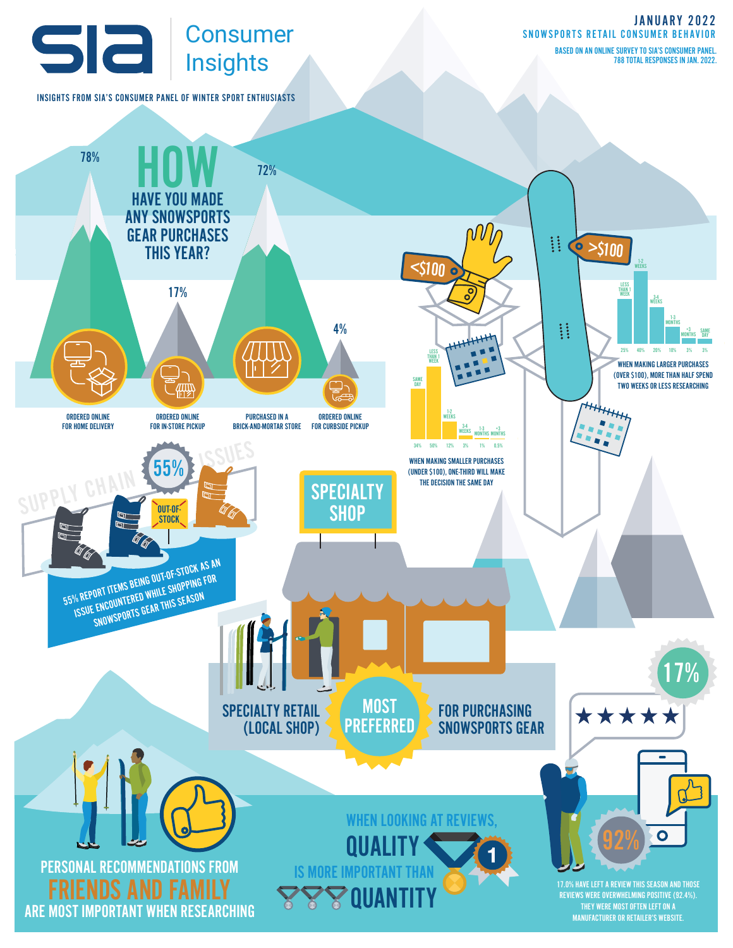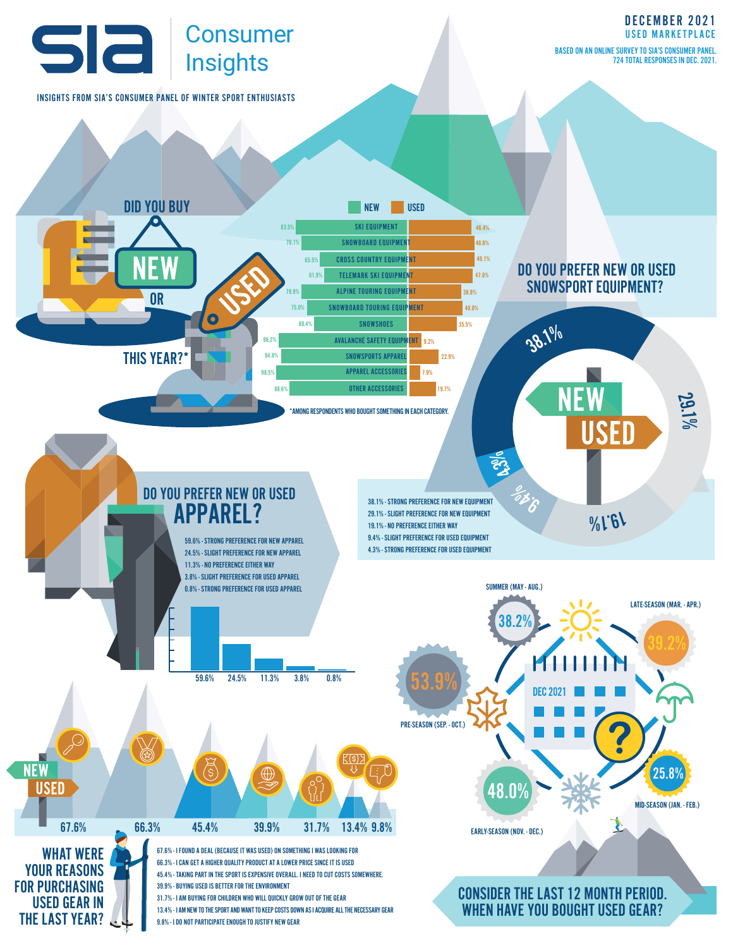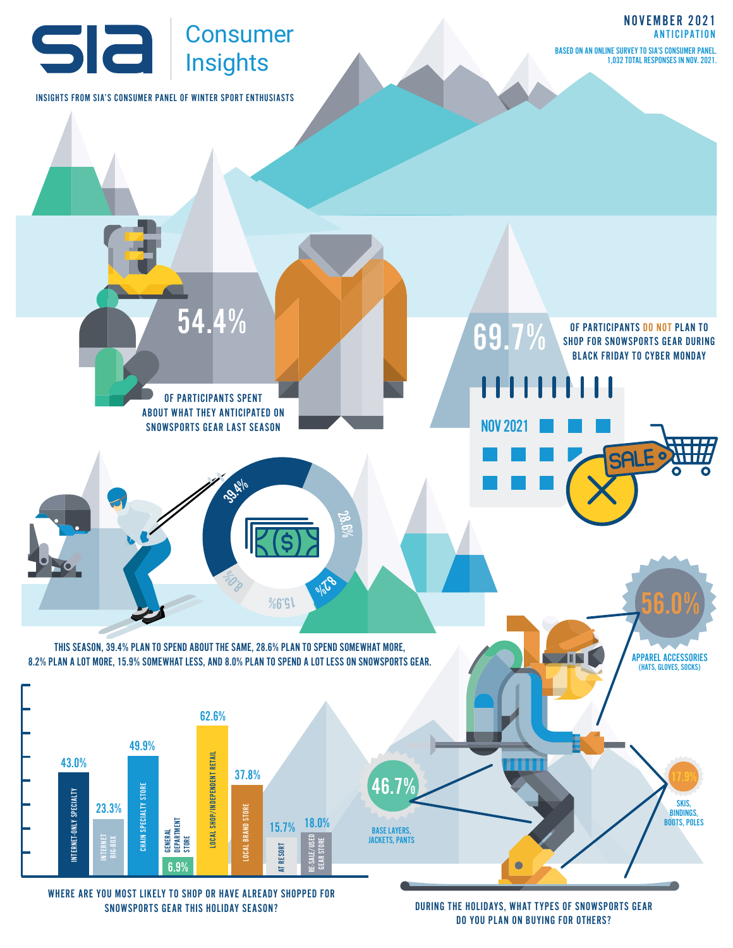

WHERE ARE YOU MOST LIKELY TO SHOP OR HAVE ALREADY SHOPPED FOR SNOWSPORTS GEAR THIS HOLIDAY SEASON?

DURING THE HOLIDAYS, WHAT TYPES OF SNOWSPORTS GEAR DO YOU PLAN ON BUYING FOR OTHERS?